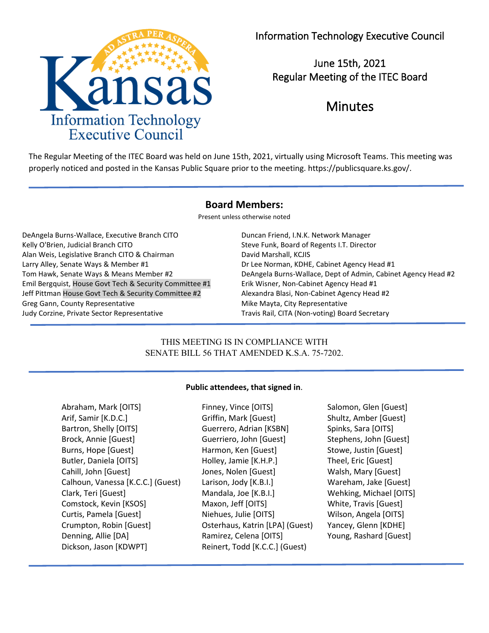

June 15th, 2021 Regular Meeting of the ITEC Board

# Minutes

The Regular Meeting of the ITEC Board was held on June 15th, 2021, virtually using Microsoft Teams. This meeting was properly noticed and posted in the Kansas Public Square prior to the meeting. https://publicsquare.ks.gov/.

# **Board Members:**

Present unless otherwise noted

DeAngela Burns-Wallace, Executive Branch CITO Duncan Friend, I.N.K. Network Manager Kelly O'Brien, Judicial Branch CITO Steve Funk, Board of Regents I.T. Director Alan Weis, Legislative Branch CITO & Chairman David Marshall, KCJIS Larry Alley, Senate Ways & Member #1 decays and the Morman, KDHE, Cabinet Agency Head #1 Emil Bergquist, House Govt Tech & Security Committee #1 Erik Wisner, Non-Cabinet Agency Head #1 Jeff Pittman House Govt Tech & Security Committee #2 Alexandra Blasi, Non-Cabinet Agency Head #2 Greg Gann, County Representative **Mike Mayta, City Representative** Mike Mayta, City Representative Judy Corzine, Private Sector Representative Travis Rail, CITA (Non-voting) Board Secretary

# Tom Hawk, Senate Ways & Means Member #2 DeAngela Burns-Wallace, Dept of Admin, Cabinet Agency Head #2

# THIS MEETING IS IN COMPLIANCE WITH SENATE BILL 56 THAT AMENDED K.S.A. 75-7202.

### **Public attendees, that signed in**.

Abraham, Mark [OITS] Finney, Vince [OITS] Salomon, Glen [Guest] Arif, Samir [K.D.C.] Griffin, Mark [Guest] Shultz, Amber [Guest] Bartron, Shelly [OITS] Guerrero, Adrian [KSBN] Spinks, Sara [OITS] Brock, Annie [Guest] Guerriero, John [Guest] Stephens, John [Guest] Burns, Hope [Guest] The Harmon, Ken [Guest] Stowe, Justin [Guest] Butler, Daniela [OITS] Holley, Jamie [K.H.P.] Theel, Eric [Guest] Cahill, John [Guest] Jones, Nolen [Guest] Walsh, Mary [Guest] Calhoun, Vanessa [K.C.C.] (Guest) Larison, Jody [K.B.I.] Wareham, Jake [Guest] Clark, Teri [Guest] Mandala, Joe [K.B.I.] Wehking, Michael [OITS] Comstock, Kevin [KSOS] Maxon, Jeff [OITS] White, Travis [Guest] Curtis, Pamela [Guest] Niehues, Julie [OITS] Wilson, Angela [OITS] Crumpton, Robin [Guest] Osterhaus, Katrin [LPA] (Guest) Yancey, Glenn [KDHE] Denning, Allie [DA] Ramirez, Celena [OITS] Young, Rashard [Guest] Dickson, Jason [KDWPT] Reinert, Todd [K.C.C.] (Guest)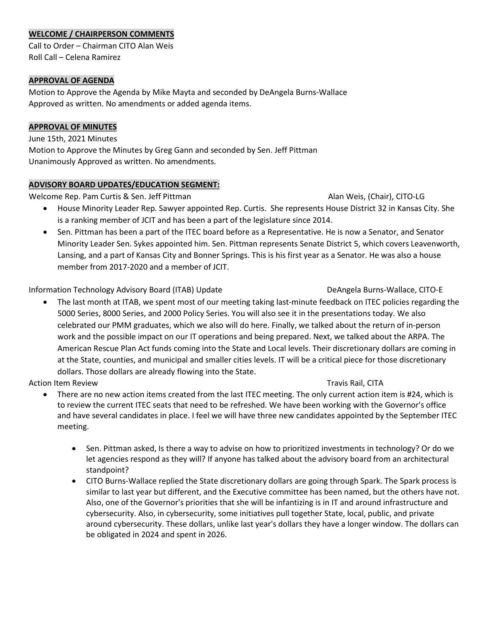### **WELCOME / CHAIRPERSON COMMENTS**

Call to Order – Chairman CITO Alan Weis Roll Call – Celena Ramirez

### **APPROVAL OF AGENDA**

Motion to Approve the Agenda by Mike Mayta and seconded by DeAngela Burns-Wallace Approved as written. No amendments or added agenda items.

### **APPROVAL OF MINUTES**

June 15th, 2021 Minutes Motion to Approve the Minutes by Greg Gann and seconded by Sen. Jeff Pittman Unanimously Approved as written. No amendments.

### **ADVISORY BOARD UPDATES/EDUCATION SEGMENT:**

Welcome Rep. Pam Curtis & Sen. Jeff Pittman Alan Weis, (Chair), CITO-LG

- House Minority Leader Rep. Sawyer appointed Rep. Curtis. She represents House District 32 in Kansas City. She is a ranking member of JCIT and has been a part of the legislature since 2014.
- Sen. Pittman has been a part of the ITEC board before as a Representative. He is now a Senator, and Senator Minority Leader Sen. Sykes appointed him. Sen. Pittman represents Senate District 5, which covers Leavenworth, Lansing, and a part of Kansas City and Bonner Springs. This is his first year as a Senator. He was also a house member from 2017-2020 and a member of JCIT.

Information Technology Advisory Board (ITAB) Update DeAngela Burns-Wallace, CITO-E

• The last month at ITAB, we spent most of our meeting taking last-minute feedback on ITEC policies regarding the 5000 Series, 8000 Series, and 2000 Policy Series. You will also see it in the presentations today. We also celebrated our PMM graduates, which we also will do here. Finally, we talked about the return of in-person work and the possible impact on our IT operations and being prepared. Next, we talked about the ARPA. The American Rescue Plan Act funds coming into the State and Local levels. Their discretionary dollars are coming in at the State, counties, and municipal and smaller cities levels. IT will be a critical piece for those discretionary dollars. Those dollars are already flowing into the State.

Action Item Review Travis Rail, CITA

- There are no new action items created from the last ITEC meeting. The only current action item is #24, which is to review the current ITEC seats that need to be refreshed. We have been working with the Governor's office and have several candidates in place. I feel we will have three new candidates appointed by the September ITEC meeting.
	- Sen. Pittman asked, Is there a way to advise on how to prioritized investments in technology? Or do we let agencies respond as they will? If anyone has talked about the advisory board from an architectural standpoint?
	- CITO Burns-Wallace replied the State discretionary dollars are going through Spark. The Spark process is similar to last year but different, and the Executive committee has been named, but the others have not. Also, one of the Governor's priorities that she will be infantizing is in IT and around infrastructure and cybersecurity. Also, in cybersecurity, some initiatives pull together State, local, public, and private around cybersecurity. These dollars, unlike last year's dollars they have a longer window. The dollars can be obligated in 2024 and spent in 2026.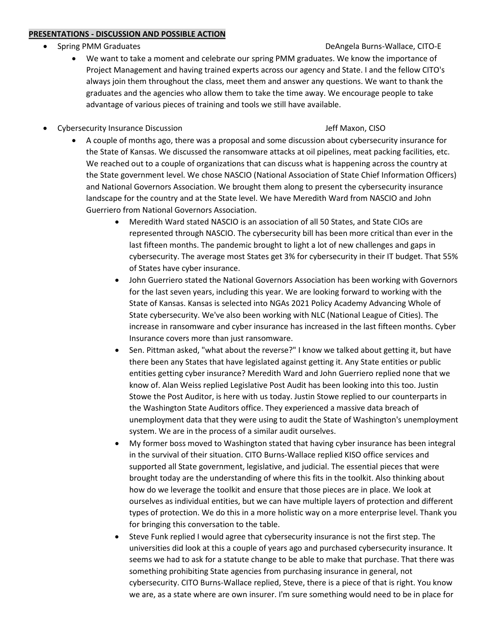### **PRESENTATIONS - DISCUSSION AND POSSIBLE ACTION**

• Spring PMM Graduates **Deangle Burns-Wallace, CITO-E** 

# • We want to take a moment and celebrate our spring PMM graduates. We know the importance of Project Management and having trained experts across our agency and State. I and the fellow CITO's always join them throughout the class, meet them and answer any questions. We want to thank the graduates and the agencies who allow them to take the time away. We encourage people to take advantage of various pieces of training and tools we still have available.

• Cybersecurity Insurance Discussion Jeff Maxon, CISO

- A couple of months ago, there was a proposal and some discussion about cybersecurity insurance for the State of Kansas. We discussed the ransomware attacks at oil pipelines, meat packing facilities, etc. We reached out to a couple of organizations that can discuss what is happening across the country at the State government level. We chose NASCIO (National Association of State Chief Information Officers) and National Governors Association. We brought them along to present the cybersecurity insurance landscape for the country and at the State level. We have Meredith Ward from NASCIO and John Guerriero from National Governors Association.
	- Meredith Ward stated NASCIO is an association of all 50 States, and State CIOs are represented through NASCIO. The cybersecurity bill has been more critical than ever in the last fifteen months. The pandemic brought to light a lot of new challenges and gaps in cybersecurity. The average most States get 3% for cybersecurity in their IT budget. That 55% of States have cyber insurance.
	- John Guerriero stated the National Governors Association has been working with Governors for the last seven years, including this year. We are looking forward to working with the State of Kansas. Kansas is selected into NGAs 2021 Policy Academy Advancing Whole of State cybersecurity. We've also been working with NLC (National League of Cities). The increase in ransomware and cyber insurance has increased in the last fifteen months. Cyber Insurance covers more than just ransomware.
	- Sen. Pittman asked, "what about the reverse?" I know we talked about getting it, but have there been any States that have legislated against getting it. Any State entities or public entities getting cyber insurance? Meredith Ward and John Guerriero replied none that we know of. Alan Weiss replied Legislative Post Audit has been looking into this too. Justin Stowe the Post Auditor, is here with us today. Justin Stowe replied to our counterparts in the Washington State Auditors office. They experienced a massive data breach of unemployment data that they were using to audit the State of Washington's unemployment system. We are in the process of a similar audit ourselves.
	- My former boss moved to Washington stated that having cyber insurance has been integral in the survival of their situation. CITO Burns-Wallace replied KISO office services and supported all State government, legislative, and judicial. The essential pieces that were brought today are the understanding of where this fits in the toolkit. Also thinking about how do we leverage the toolkit and ensure that those pieces are in place. We look at ourselves as individual entities, but we can have multiple layers of protection and different types of protection. We do this in a more holistic way on a more enterprise level. Thank you for bringing this conversation to the table.
	- Steve Funk replied I would agree that cybersecurity insurance is not the first step. The universities did look at this a couple of years ago and purchased cybersecurity insurance. It seems we had to ask for a statute change to be able to make that purchase. That there was something prohibiting State agencies from purchasing insurance in general, not cybersecurity. CITO Burns-Wallace replied, Steve, there is a piece of that is right. You know we are, as a state where are own insurer. I'm sure something would need to be in place for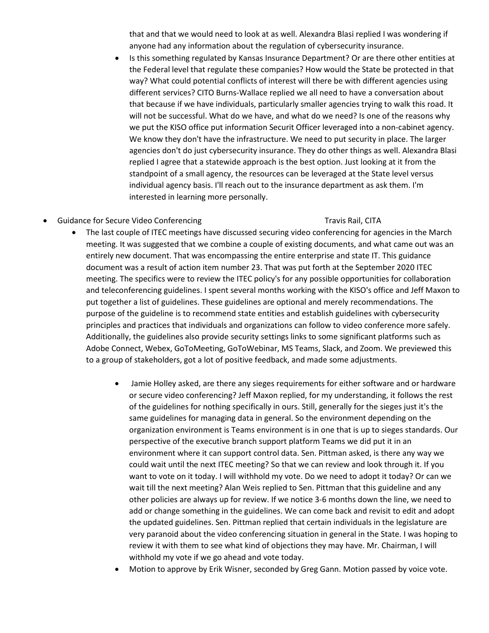that and that we would need to look at as well. Alexandra Blasi replied I was wondering if anyone had any information about the regulation of cybersecurity insurance.

- Is this something regulated by Kansas Insurance Department? Or are there other entities at the Federal level that regulate these companies? How would the State be protected in that way? What could potential conflicts of interest will there be with different agencies using different services? CITO Burns-Wallace replied we all need to have a conversation about that because if we have individuals, particularly smaller agencies trying to walk this road. It will not be successful. What do we have, and what do we need? Is one of the reasons why we put the KISO office put information Securit Officer leveraged into a non-cabinet agency. We know they don't have the infrastructure. We need to put security in place. The larger agencies don't do just cybersecurity insurance. They do other things as well. Alexandra Blasi replied I agree that a statewide approach is the best option. Just looking at it from the standpoint of a small agency, the resources can be leveraged at the State level versus individual agency basis. I'll reach out to the insurance department as ask them. I'm interested in learning more personally.
- Guidance for Secure Video Conferencing Travis Rail, CITA

- The last couple of ITEC meetings have discussed securing video conferencing for agencies in the March meeting. It was suggested that we combine a couple of existing documents, and what came out was an entirely new document. That was encompassing the entire enterprise and state IT. This guidance document was a result of action item number 23. That was put forth at the September 2020 ITEC meeting. The specifics were to review the ITEC policy's for any possible opportunities for collaboration and teleconferencing guidelines. I spent several months working with the KISO's office and Jeff Maxon to put together a list of guidelines. These guidelines are optional and merely recommendations. The purpose of the guideline is to recommend state entities and establish guidelines with cybersecurity principles and practices that individuals and organizations can follow to video conference more safely. Additionally, the guidelines also provide security settings links to some significant platforms such as Adobe Connect, Webex, GoToMeeting, GoToWebinar, MS Teams, Slack, and Zoom. We previewed this to a group of stakeholders, got a lot of positive feedback, and made some adjustments.
	- Jamie Holley asked, are there any sieges requirements for either software and or hardware or secure video conferencing? Jeff Maxon replied, for my understanding, it follows the rest of the guidelines for nothing specifically in ours. Still, generally for the sieges just it's the same guidelines for managing data in general. So the environment depending on the organization environment is Teams environment is in one that is up to sieges standards. Our perspective of the executive branch support platform Teams we did put it in an environment where it can support control data. Sen. Pittman asked, is there any way we could wait until the next ITEC meeting? So that we can review and look through it. If you want to vote on it today. I will withhold my vote. Do we need to adopt it today? Or can we wait till the next meeting? Alan Weis replied to Sen. Pittman that this guideline and any other policies are always up for review. If we notice 3-6 months down the line, we need to add or change something in the guidelines. We can come back and revisit to edit and adopt the updated guidelines. Sen. Pittman replied that certain individuals in the legislature are very paranoid about the video conferencing situation in general in the State. I was hoping to review it with them to see what kind of objections they may have. Mr. Chairman, I will withhold my vote if we go ahead and vote today.
	- Motion to approve by Erik Wisner, seconded by Greg Gann. Motion passed by voice vote.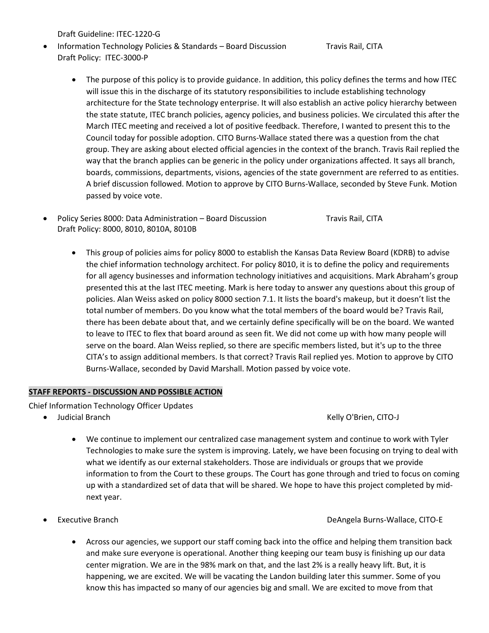Draft Guideline: ITEC-1220-G

Information Technology Policies & Standards – Board Discussion Travis Rail, CITA Draft Policy: ITEC-3000-P

- The purpose of this policy is to provide guidance. In addition, this policy defines the terms and how ITEC will issue this in the discharge of its statutory responsibilities to include establishing technology architecture for the State technology enterprise. It will also establish an active policy hierarchy between the state statute, ITEC branch policies, agency policies, and business policies. We circulated this after the March ITEC meeting and received a lot of positive feedback. Therefore, I wanted to present this to the Council today for possible adoption. CITO Burns-Wallace stated there was a question from the chat group. They are asking about elected official agencies in the context of the branch. Travis Rail replied the way that the branch applies can be generic in the policy under organizations affected. It says all branch, boards, commissions, departments, visions, agencies of the state government are referred to as entities. A brief discussion followed. Motion to approve by CITO Burns-Wallace, seconded by Steve Funk. Motion passed by voice vote.
- Policy Series 8000: Data Administration Board Discussion Travis Rail, CITA Draft Policy: 8000, 8010, 8010A, 8010B
	- This group of policies aims for policy 8000 to establish the Kansas Data Review Board (KDRB) to advise the chief information technology architect. For policy 8010, it is to define the policy and requirements for all agency businesses and information technology initiatives and acquisitions. Mark Abraham's group presented this at the last ITEC meeting. Mark is here today to answer any questions about this group of policies. Alan Weiss asked on policy 8000 section 7.1. It lists the board's makeup, but it doesn't list the total number of members. Do you know what the total members of the board would be? Travis Rail, there has been debate about that, and we certainly define specifically will be on the board. We wanted to leave to ITEC to flex that board around as seen fit. We did not come up with how many people will serve on the board. Alan Weiss replied, so there are specific members listed, but it's up to the three CITA's to assign additional members. Is that correct? Travis Rail replied yes. Motion to approve by CITO Burns-Wallace, seconded by David Marshall. Motion passed by voice vote.

### **STAFF REPORTS - DISCUSSION AND POSSIBLE ACTION**

Chief Information Technology Officer Updates

• Judicial Branch Kelly O'Brien, CITO-J

- We continue to implement our centralized case management system and continue to work with Tyler Technologies to make sure the system is improving. Lately, we have been focusing on trying to deal with what we identify as our external stakeholders. Those are individuals or groups that we provide information to from the Court to these groups. The Court has gone through and tried to focus on coming up with a standardized set of data that will be shared. We hope to have this project completed by midnext year.
- 

### • Executive Branch DeAngela Burns-Wallace, CITO-E

• Across our agencies, we support our staff coming back into the office and helping them transition back and make sure everyone is operational. Another thing keeping our team busy is finishing up our data center migration. We are in the 98% mark on that, and the last 2% is a really heavy lift. But, it is happening, we are excited. We will be vacating the Landon building later this summer. Some of you know this has impacted so many of our agencies big and small. We are excited to move from that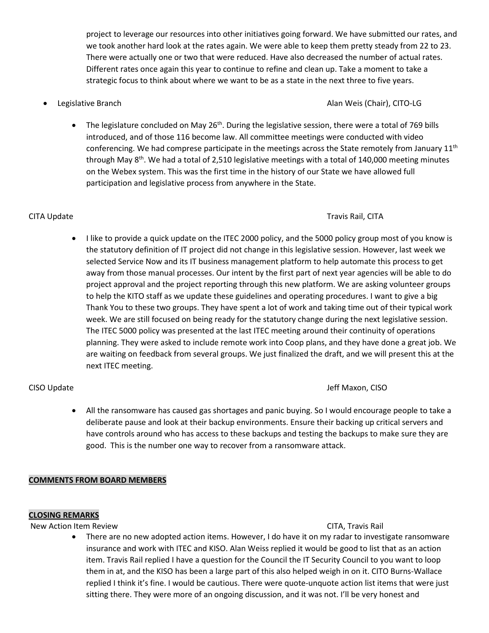project to leverage our resources into other initiatives going forward. We have submitted our rates, and we took another hard look at the rates again. We were able to keep them pretty steady from 22 to 23. There were actually one or two that were reduced. Have also decreased the number of actual rates. Different rates once again this year to continue to refine and clean up. Take a moment to take a strategic focus to think about where we want to be as a state in the next three to five years.

### • Legislative Branch Alan Weis (Chair), CITO-LG

The legislature concluded on May 26<sup>th</sup>. During the legislative session, there were a total of 769 bills introduced, and of those 116 become law. All committee meetings were conducted with video conferencing. We had comprese participate in the meetings across the State remotely from January 11<sup>th</sup> through May 8<sup>th</sup>. We had a total of 2,510 legislative meetings with a total of 140,000 meeting minutes on the Webex system. This was the first time in the history of our State we have allowed full participation and legislative process from anywhere in the State.

# CITA Update Travis Rail, CITA

• I like to provide a quick update on the ITEC 2000 policy, and the 5000 policy group most of you know is the statutory definition of IT project did not change in this legislative session. However, last week we selected Service Now and its IT business management platform to help automate this process to get away from those manual processes. Our intent by the first part of next year agencies will be able to do project approval and the project reporting through this new platform. We are asking volunteer groups to help the KITO staff as we update these guidelines and operating procedures. I want to give a big Thank You to these two groups. They have spent a lot of work and taking time out of their typical work week. We are still focused on being ready for the statutory change during the next legislative session. The ITEC 5000 policy was presented at the last ITEC meeting around their continuity of operations planning. They were asked to include remote work into Coop plans, and they have done a great job. We are waiting on feedback from several groups. We just finalized the draft, and we will present this at the next ITEC meeting.

### CISO Update Jeff Maxon, CISO

• All the ransomware has caused gas shortages and panic buying. So I would encourage people to take a deliberate pause and look at their backup environments. Ensure their backing up critical servers and have controls around who has access to these backups and testing the backups to make sure they are good. This is the number one way to recover from a ransomware attack.

# **COMMENTS FROM BOARD MEMBERS**

### **CLOSING REMARKS**

New Action Item Review CITA, The Service CITA, Travis Rail

• There are no new adopted action items. However, I do have it on my radar to investigate ransomware insurance and work with ITEC and KISO. Alan Weiss replied it would be good to list that as an action item. Travis Rail replied I have a question for the Council the IT Security Council to you want to loop them in at, and the KISO has been a large part of this also helped weigh in on it. CITO Burns-Wallace replied I think it's fine. I would be cautious. There were quote-unquote action list items that were just sitting there. They were more of an ongoing discussion, and it was not. I'll be very honest and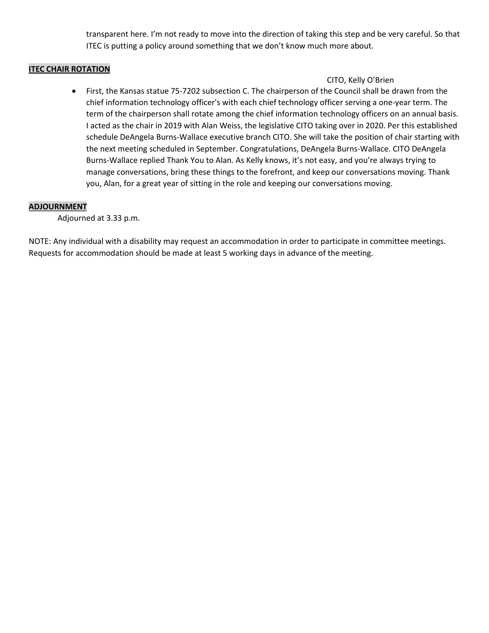transparent here. I'm not ready to move into the direction of taking this step and be very careful. So that ITEC is putting a policy around something that we don't know much more about.

### **ITEC CHAIR ROTATION**

### CITO, Kelly O'Brien

• First, the Kansas statue 75-7202 subsection C. The chairperson of the Council shall be drawn from the chief information technology officer's with each chief technology officer serving a one-year term. The term of the chairperson shall rotate among the chief information technology officers on an annual basis. I acted as the chair in 2019 with Alan Weiss, the legislative CITO taking over in 2020. Per this established schedule DeAngela Burns-Wallace executive branch CITO. She will take the position of chair starting with the next meeting scheduled in September. Congratulations, DeAngela Burns-Wallace. CITO DeAngela Burns-Wallace replied Thank You to Alan. As Kelly knows, it's not easy, and you're always trying to manage conversations, bring these things to the forefront, and keep our conversations moving. Thank you, Alan, for a great year of sitting in the role and keeping our conversations moving.

### **ADJOURNMENT**

Adjourned at 3.33 p.m.

NOTE: Any individual with a disability may request an accommodation in order to participate in committee meetings. Requests for accommodation should be made at least 5 working days in advance of the meeting.